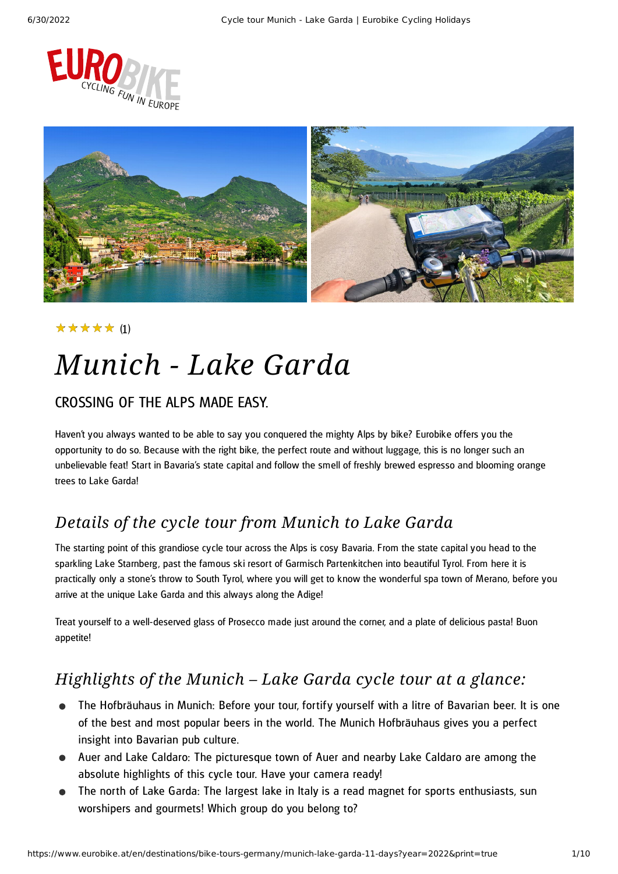



#### (1) ★★★★★

# *Munich - Lake Garda*

### CROSSING OF THE ALPS MADE EASY.

Haven't you always wanted to be able to say you conquered the mighty Alps by bike? Eurobike offers you the opportunity to do so. Because with the right bike, the perfect route and without luggage, this is no longer such an unbelievable feat! Start in Bavaria's state capital and follow the smell of freshly brewed espresso and blooming orange trees to Lake Garda!

### *Details of the cycle tour from Munich to Lake Garda*

The starting point of this grandiose cycle tour across the Alps is cosy Bavaria. From the state capital you head to the sparkling Lake Starnberg, past the famous ski resort of Garmisch Partenkitchen into beautiful Tyrol. From here it is practically only a stone's throw to South Tyrol, where you will get to know the wonderful spa town of Merano, before you arrive at the unique Lake Garda and this always along the Adige!

Treat yourself to a well-deserved glass of Prosecco made just around the corner, and a plate of delicious pasta! Buon appetite!

### *Highlights of the Munich – Lake Garda cycle tour at a glance:*

- The Hofbräuhaus in Munich: Before your tour, fortify yourself with a litre of Bavarian beer. It is one of the best and most popular beers in the world. The Munich Hofbräuhaus gives you a perfect insight into Bavarian pub culture.
- Auer and Lake Caldaro: The picturesque town of Auer and nearby Lake Caldaro are among the absolute highlights of this cycle tour. Have your camera ready!
- The north of Lake Garda: The largest lake in Italy is a read magnet for sports enthusiasts, sun worshipers and gourmets! Which group do you belong to?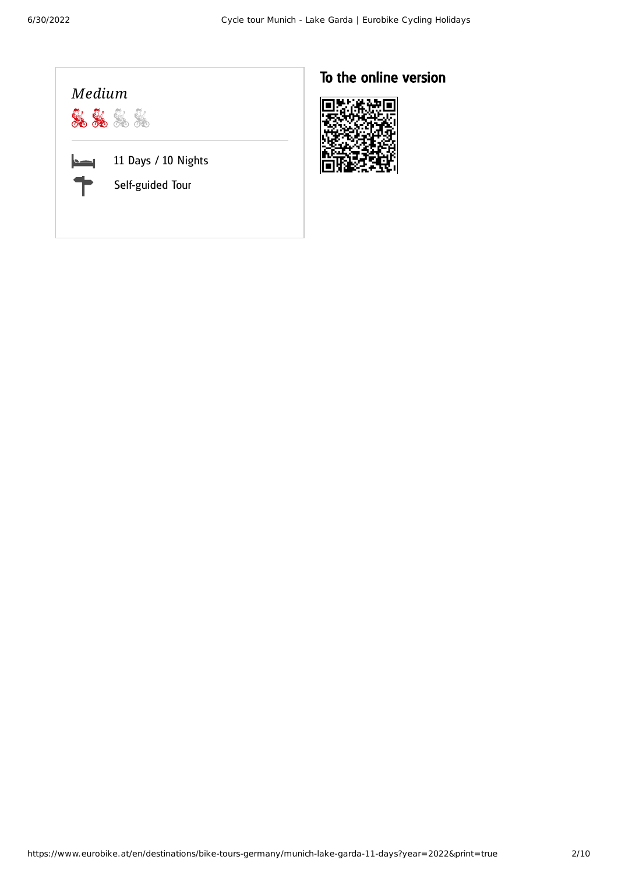### *Medium* 8888 11 Days / 10 Nights Self-guided Tour

### To the online version

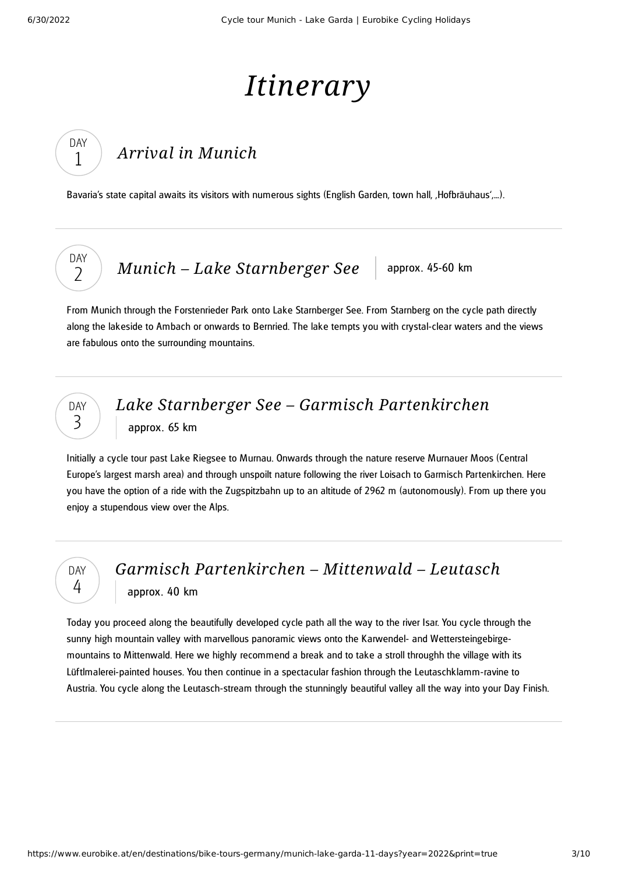# *Itinerary*

### *Arrival in [Munich](#page-2-0)*

<span id="page-2-0"></span>Bavaria's state capital awaits its visitors with numerous sights (English Garden, town hall, Hofbräuhaus',...).

DAY  $\overline{\phantom{0}}$ 

DAY 1

*Munich* – *Lake [Starnberger](#page-2-1) See* approx. 45-60 km

<span id="page-2-1"></span>From Munich through the Forstenrieder Park onto Lake Starnberger See. From Starnberg on the cycle path directly along the lakeside to Ambach or onwards to Bernried. The lake tempts you with crystal-clear waters and the views are fabulous onto the surrounding mountains.



*Lake Starnberger See – Garmisch [Partenkirchen](#page-2-2)* approx. 65 km

<span id="page-2-2"></span>Initially a cycle tour past Lake Riegsee to Murnau. Onwards through the nature reserve Murnauer Moos (Central Europe's largest marsh area) and through unspoilt nature following the river Loisach to Garmisch Partenkirchen. Here you have the option of a ride with the Zugspitzbahn up to an altitude of 2962 m (autonomously). From up there you enjoy a stupendous view over the Alps.

DAY 4

### *Garmisch [Partenkirchen](#page-2-3) – Mittenwald – Leutasch* approx. 40 km

<span id="page-2-3"></span>Today you proceed along the beautifully developed cycle path all the way to the river Isar. You cycle through the sunny high mountain valley with marvellous panoramic views onto the Karwendel- and Wettersteingebirgemountains to Mittenwald. Here we highly recommend a break and to take a stroll throughh the village with its Lüftlmalerei-painted houses. You then continue in a spectacular fashion through the Leutaschklamm-ravine to Austria. You cycle along the Leutasch-stream through the stunningly beautiful valley all the way into your Day Finish.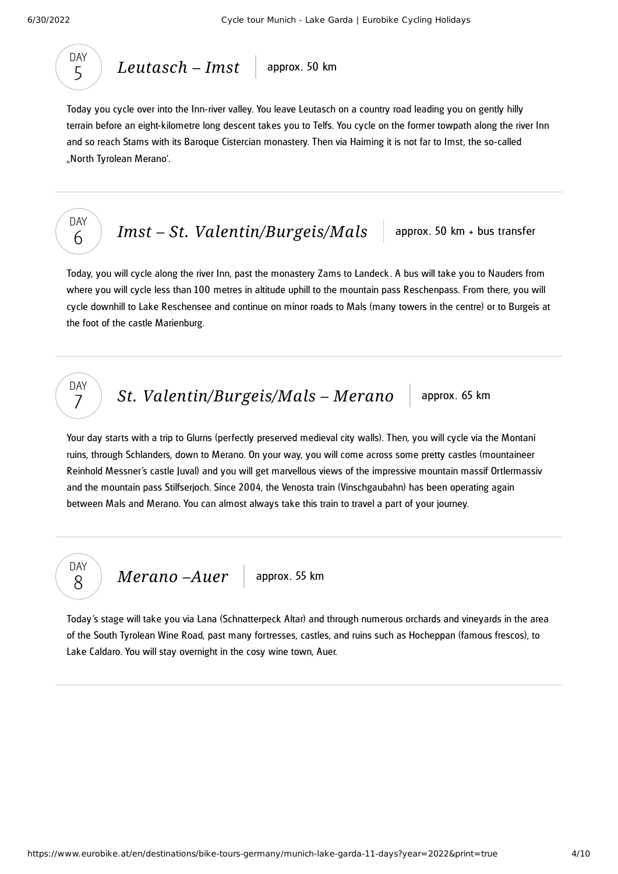

*[Leutasch](#page-3-0) – Imst* approx. 50 km

<span id="page-3-0"></span>Today you cycle over into the Inn-river valley. You leave Leutasch on a country road leading you on gently hilly terrain before an eight-kilometre long descent takes you to Telfs. You cycle on the former towpath along the river Inn and so reach Stams with its Baroque Cistercian monastery. Then via Haiming it is not far to Imst, the so-called "North Tyrolean Merano'.



DAY 7

*Imst* – *St. [Valentin/Burgeis/Mals](#page-3-1)* approx. 50 km + bus transfer

<span id="page-3-1"></span>Today, you will cycle along the river Inn, past the monastery Zams to Landeck . A bus will take you to Nauders from where you will cycle less than 100 metres in altitude uphill to the mountain pass Reschenpass. From there, you will cycle downhill to Lake Reschensee and continue on minor roads to Mals (many towers in the centre) or to Burgeis at the foot of the castle Marienburg.

*St. [Valentin/Burgeis/Mals](#page-3-2) – Merano* approx. 65 km

<span id="page-3-2"></span>Your day starts with a trip to Glurns (perfectly preserved medieval city walls). Then, you will cycle via the Montani ruins, through Schlanders, down to Merano. On your way, you will come across some pretty castles (mountaineer Reinhold Messner's castle Juval) and you will get marvellous views of the impressive mountain massif Ortlermassiv and the mountain pass Stilfserjoch. Since 2004, the Venosta train (Vinschgaubahn) has been operating again between Mals and Merano. You can almost always take this train to travel a part of your journey.



<span id="page-3-3"></span>Today's stage will take you via Lana (Schnatterpeck Altar) and through numerous orchards and vineyards in the area of the South Tyrolean Wine Road, past many fortresses, castles, and ruins such as Hocheppan (famous frescos), to Lake Caldaro. You will stay overnight in the cosy wine town, Auer.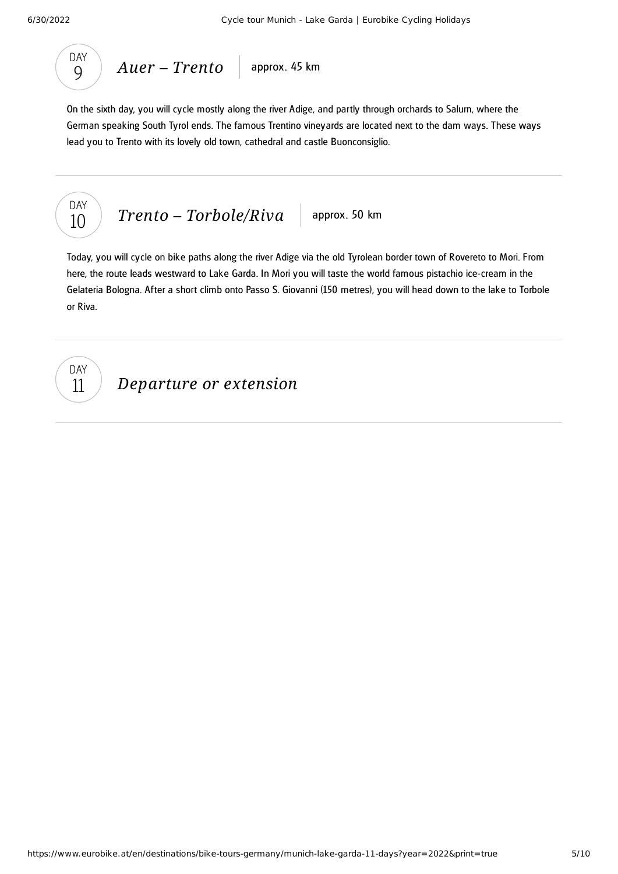

<span id="page-4-0"></span>On the sixth day, you will cycle mostly along the river Adige, and partly through orchards to Salurn, where the German speaking South Tyrol ends. The famous Trentino vineyards are located next to the dam ways. These ways lead you to Trento with its lovely old town, cathedral and castle Buonconsiglio.



<span id="page-4-1"></span>Today, you will cycle on bike paths along the river Adige via the old Tyrolean border town of Rovereto to Mori. From here, the route leads westward to Lake Garda. In Mori you will taste the world famous pistachio ice-cream in the Gelateria Bologna. After a short climb onto Passo S. Giovanni (150 metres), you will head down to the lake to Torbole or Riva.

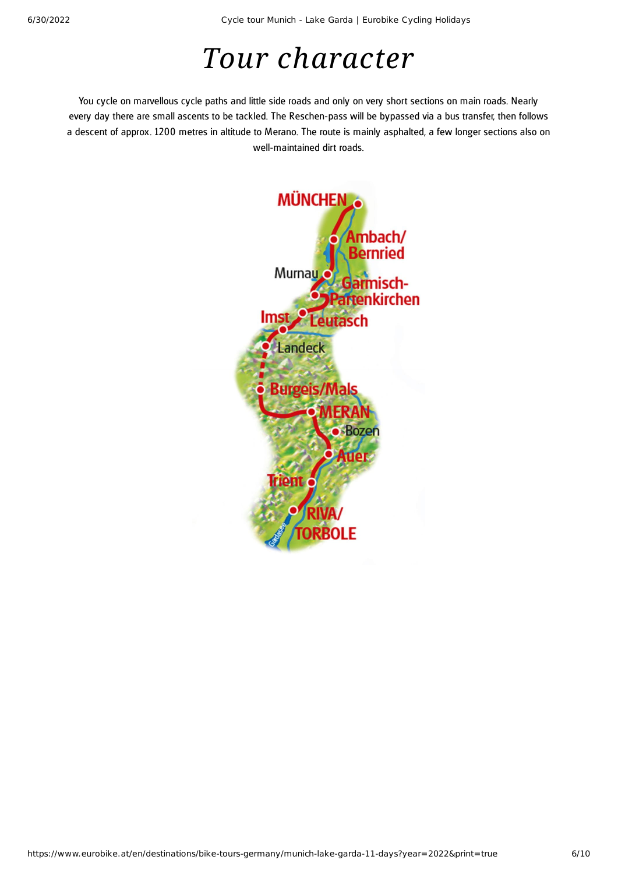6/30/2022 Cycle tour Munich - Lake Garda | Eurobike Cycling Holidays

### *Tour character*

You cycle on marvellous cycle paths and little side roads and only on very short sections on main roads. Nearly every day there are small ascents to be tackled. The Reschen-pass will be bypassed via a bus transfer, then follows a descent of approx. 1200 metres in altitude to Merano. The route is mainly asphalted, a few longer sections also on well-maintained dirt roads.

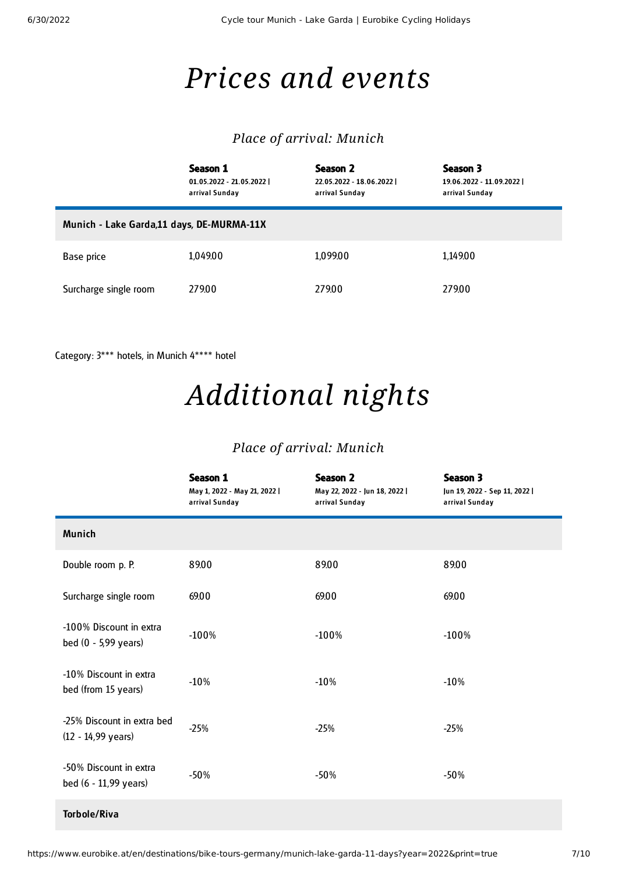### *Prices and events*

#### *Place of arrival: Munich*

|                                           | Season 1<br>$01.05.2022 - 21.05.2022$<br>arrival Sunday | Season 2<br>22.05.2022 - 18.06.2022  <br>arrival Sunday | Season 3<br>19.06.2022 - 11.09.2022  <br>arrival Sunday |
|-------------------------------------------|---------------------------------------------------------|---------------------------------------------------------|---------------------------------------------------------|
| Munich - Lake Garda,11 days, DE-MURMA-11X |                                                         |                                                         |                                                         |
| Base price                                | 1,049.00                                                | 1,099.00                                                | 1,149.00                                                |
| Surcharge single room                     | 279.00                                                  | 279.00                                                  | 279.00                                                  |

Category: 3\*\*\* hotels, in Munich 4\*\*\*\* hotel

## *Additional nights*

### *Place of arrival: Munich*

|                                                    | Season 1<br>May 1, 2022 - May 21, 2022  <br>arrival Sunday | <b>Season 2</b><br>May 22, 2022 - Jun 18, 2022  <br>arrival Sunday | Season 3<br>Jun 19, 2022 - Sep 11, 2022  <br>arrival Sunday |
|----------------------------------------------------|------------------------------------------------------------|--------------------------------------------------------------------|-------------------------------------------------------------|
| Munich                                             |                                                            |                                                                    |                                                             |
| Double room p. P.                                  | 89.00                                                      | 89.00                                                              | 89.00                                                       |
| Surcharge single room                              | 69.00                                                      | 69.00                                                              | 69.00                                                       |
| -100% Discount in extra<br>bed (0 - 5,99 years)    | $-100%$                                                    | $-100%$                                                            | $-100%$                                                     |
| -10% Discount in extra<br>bed (from 15 years)      | $-10%$                                                     | $-10%$                                                             | $-10%$                                                      |
| -25% Discount in extra bed<br>$(12 - 14,99$ years) | $-25%$                                                     | $-25%$                                                             | $-25%$                                                      |
| -50% Discount in extra<br>bed (6 - 11,99 years)    | $-50%$                                                     | $-50%$                                                             | $-50%$                                                      |
| <b>Torbole/Riva</b>                                |                                                            |                                                                    |                                                             |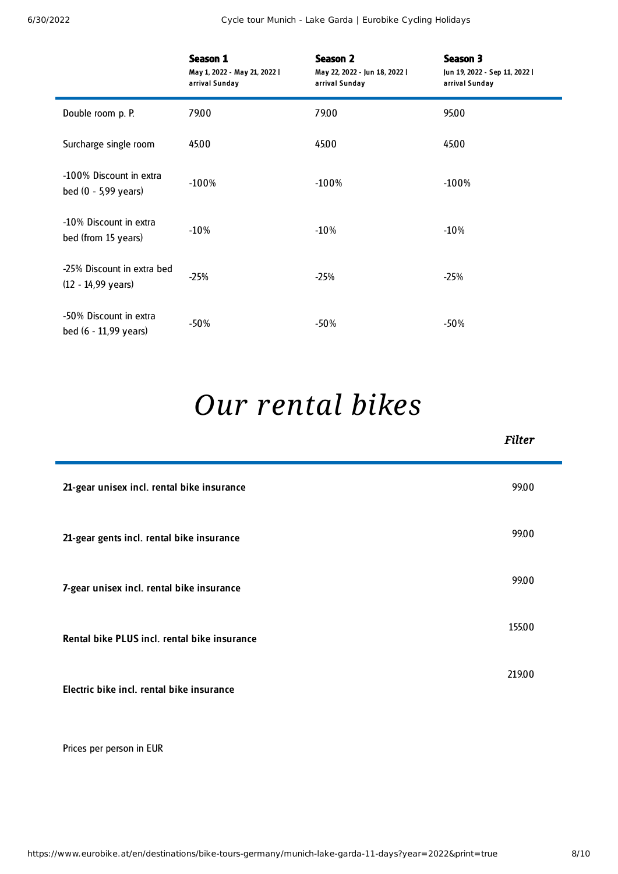6/30/2022 Cycle tour Munich - Lake Garda | Eurobike Cycling Holidays

|                                                    | Season 1<br>May 1, 2022 - May 21, 2022  <br>arrival Sunday | <b>Season 2</b><br>May 22, 2022 - Jun 18, 2022  <br>arrival Sunday | Season 3<br>Jun 19, 2022 - Sep 11, 2022  <br>arrival Sunday |
|----------------------------------------------------|------------------------------------------------------------|--------------------------------------------------------------------|-------------------------------------------------------------|
| Double room p. P.                                  | 79.00                                                      | 79.00                                                              | 95.00                                                       |
| Surcharge single room                              | 45.00                                                      | 45.00                                                              | 45.00                                                       |
| -100% Discount in extra<br>bed $(0 - 5,99$ years)  | $-100\%$                                                   | $-100%$                                                            | $-100%$                                                     |
| -10% Discount in extra<br>bed (from 15 years)      | $-10%$                                                     | $-10%$                                                             | $-10%$                                                      |
| -25% Discount in extra bed<br>$(12 - 14,99$ years) | $-25%$                                                     | $-25%$                                                             | $-25%$                                                      |
| -50% Discount in extra<br>bed (6 - 11,99 years)    | $-50%$                                                     | -50%                                                               | -50%                                                        |

# *Our [rental](#page-7-0) bikes*

<span id="page-7-0"></span>

|                                              | <b>Filter</b> |
|----------------------------------------------|---------------|
| 21-gear unisex incl. rental bike insurance   | 99.00         |
| 21-gear gents incl. rental bike insurance    | 99.00         |
| 7-gear unisex incl. rental bike insurance    | 99.00         |
| Rental bike PLUS incl. rental bike insurance | 155.00        |
| Electric bike incl. rental bike insurance    | 219.00        |

Prices per person in EUR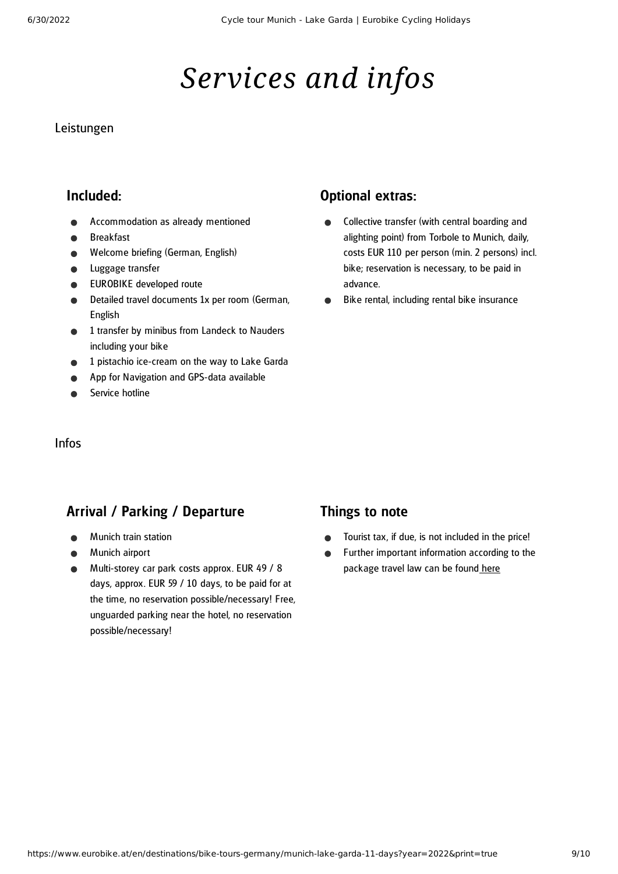# *Services and infos*

#### Leistungen

#### Included:

- Accommodation as already mentioned
- Breakfast
- Welcome briefing (German, English)
- Luggage transfer  $\bullet$
- EUROBIKE developed route
- Detailed travel documents 1x per room (German, English
- 1 transfer by minibus from Landeck to Nauders including your bike
- 1 pistachio ice-cream on the way to Lake Garda
- App for Navigation and GPS-data available
- Service hotline

#### Optional extras:

- Collective transfer (with central boarding and alighting point) from Torbole to Munich, daily, costs EUR 110 per person (min. 2 persons) incl. bike; reservation is necessary, to be paid in advance.
- Bike rental, including rental bike insurance

#### Infos

#### Arrival / Parking / Departure

- Munich train station
- Munich airport
- Multi-storey car park costs approx. EUR 49 / 8 days, approx. EUR 59 / 10 days, to be paid for at the time, no reservation possible/necessary! Free, unguarded parking near the hotel, no reservation possible/necessary!

#### Things to note

- Tourist tax, if due, is not included in the price!  $\bullet$
- $\bullet$ Further important information according to the package travel law can be found [here](https://www.eurobike.at/en/travel-information/before-the-tour/pci)